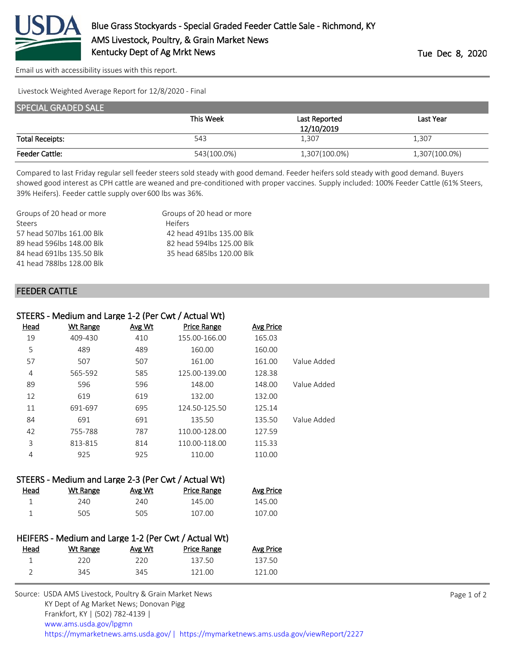

[Email us with accessibility issues with this report.](mailto:mars@ams.usda.gov?subject=508%20issue)

Livestock Weighted Average Report for 12/8/2020 - Final

| <b>SPECIAL GRADED SALE</b> |             |               |               |  |
|----------------------------|-------------|---------------|---------------|--|
|                            | This Week   | Last Reported | Last Year     |  |
|                            |             | 12/10/2019    |               |  |
| <b>Total Receipts:</b>     | 543         | 1,307         | 1,307         |  |
| <b>Feeder Cattle:</b>      | 543(100.0%) | 1,307(100.0%) | 1,307(100.0%) |  |

Compared to last Friday regular sell feeder steers sold steady with good demand. Feeder heifers sold steady with good demand. Buyers showed good interest as CPH cattle are weaned and pre-conditioned with proper vaccines. Supply included: 100% Feeder Cattle (61% Steers, 39% Heifers). Feeder cattle supply over 600 lbs was 36%.

| Groups of 20 head or more | Groups of 20 head or more  |
|---------------------------|----------------------------|
| <b>Steers</b>             | <b>Heifers</b>             |
| 57 head 507lbs 161.00 Blk | 42 head 491 lbs 135.00 Blk |
| 89 head 596lbs 148.00 Blk | 82 head 594 lbs 125.00 Blk |
| 84 head 691lbs 135.50 Blk | 35 head 685lbs 120.00 Blk  |
| 41 head 788lbs 128,00 Blk |                            |

## FEEDER CATTLE

| STEERS - Medium and Large 1-2 (Per Cwt / Actual Wt) |                 |               |                    |           |             |
|-----------------------------------------------------|-----------------|---------------|--------------------|-----------|-------------|
| Head                                                | <b>Wt Range</b> | <b>Avg Wt</b> | <b>Price Range</b> | Avg Price |             |
| 19                                                  | 409-430         | 410           | 155.00-166.00      | 165.03    |             |
| 5                                                   | 489             | 489           | 160.00             | 160.00    |             |
| 57                                                  | 507             | 507           | 161.00             | 161.00    | Value Added |
| 4                                                   | 565-592         | 585           | 125.00-139.00      | 128.38    |             |
| 89                                                  | 596             | 596           | 148.00             | 148.00    | Value Added |
| 12                                                  | 619             | 619           | 132.00             | 132.00    |             |
| 11                                                  | 691-697         | 695           | 124.50-125.50      | 125.14    |             |
| 84                                                  | 691             | 691           | 135.50             | 135.50    | Value Added |
| 42                                                  | 755-788         | 787           | 110.00-128.00      | 127.59    |             |
| 3                                                   | 813-815         | 814           | 110.00-118.00      | 115.33    |             |
| 4                                                   | 925             | 925           | 110.00             | 110.00    |             |
|                                                     |                 |               |                    |           |             |

| STEERS - Medium and Large 2-3 (Per Cwt / Actual Wt) |          |        |             |           |  |
|-----------------------------------------------------|----------|--------|-------------|-----------|--|
| Head                                                | Wt Range | Avg Wt | Price Range | Avg Price |  |
|                                                     | 240      | 240    | 145.00      | 145.00    |  |
|                                                     | 505.     | 505    | 107.00      | 107.00    |  |

| HEIFERS - Medium and Large 1-2 (Per Cwt / Actual Wt) |          |        |                    |           |
|------------------------------------------------------|----------|--------|--------------------|-----------|
| Head                                                 | Wt Range | Avg Wt | <b>Price Range</b> | Avg Price |
| л.                                                   | 220      | 220    | 137.50             | 137.50    |
|                                                      | 345      | 345    | 121 00             | 121 00    |

| Source: USDA AMS Livestock, Poultry & Grain Market News                                |
|----------------------------------------------------------------------------------------|
| KY Dept of Ag Market News; Donovan Pigg                                                |
| Frankfort, KY   (502) 782-4139                                                         |
| www.ams.usda.gov/lpgmn                                                                 |
| https://mymarketnews.ams.usda.gov/   https://mymarketnews.ams.usda.gov/viewReport/2227 |